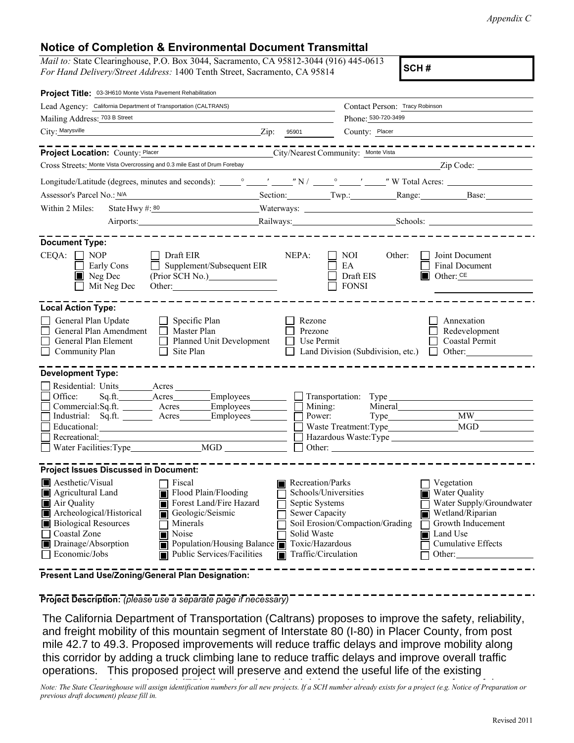*Appendix C*

## **Notice of Completion & Environmental Document Transmittal**

*Mail to:* State Clearinghouse, P.O. Box 3044, Sacramento, CA 95812-3044 (916) 445-0613 *For Hand Delivery/Street Address:* 1400 Tenth Street, Sacramento, CA 95814 **SCH #** 

| Project Title: 03-3H610 Monte Vista Pavement Rehabilitation                                                                                                                                                                            |                                                                                                                                                                                 |                                                                                                                                                                          |                                                  |                                                                                                                    |
|----------------------------------------------------------------------------------------------------------------------------------------------------------------------------------------------------------------------------------------|---------------------------------------------------------------------------------------------------------------------------------------------------------------------------------|--------------------------------------------------------------------------------------------------------------------------------------------------------------------------|--------------------------------------------------|--------------------------------------------------------------------------------------------------------------------|
| Lead Agency: California Department of Transportation (CALTRANS)                                                                                                                                                                        |                                                                                                                                                                                 | Contact Person: Tracy Robinson                                                                                                                                           |                                                  |                                                                                                                    |
| Mailing Address: 703 B Street                                                                                                                                                                                                          |                                                                                                                                                                                 | Phone: 530-720-3499                                                                                                                                                      |                                                  |                                                                                                                    |
| City: Marysville                                                                                                                                                                                                                       | $\chi$ ip: 95901                                                                                                                                                                | County: Placer                                                                                                                                                           |                                                  |                                                                                                                    |
| Project Location: County: Placer                                                                                                                                                                                                       | .<br>City/Nearest Community: Monte Vista                                                                                                                                        |                                                                                                                                                                          |                                                  |                                                                                                                    |
| Cross Streets: Monte Vista Overcrossing and 0.3 mile East of Drum Forebay                                                                                                                                                              |                                                                                                                                                                                 |                                                                                                                                                                          |                                                  | Zip Code:                                                                                                          |
|                                                                                                                                                                                                                                        |                                                                                                                                                                                 |                                                                                                                                                                          |                                                  |                                                                                                                    |
| Assessor's Parcel No.: N/A                                                                                                                                                                                                             |                                                                                                                                                                                 | Section: Twp.: Range: Base:                                                                                                                                              |                                                  |                                                                                                                    |
| Within 2 Miles:<br>State Hwy #: 80                                                                                                                                                                                                     |                                                                                                                                                                                 |                                                                                                                                                                          |                                                  |                                                                                                                    |
| Airports: 1999                                                                                                                                                                                                                         |                                                                                                                                                                                 |                                                                                                                                                                          |                                                  |                                                                                                                    |
| <b>Document Type:</b>                                                                                                                                                                                                                  |                                                                                                                                                                                 |                                                                                                                                                                          |                                                  |                                                                                                                    |
| $\Box$ NOP<br>CEOA:<br>$\Box$ Draft EIR<br>Early Cons<br>$\blacksquare$ Neg Dec<br>$\Box$ Mit Neg Dec                                                                                                                                  | Supplement/Subsequent EIR                                                                                                                                                       | NEPA:<br>NOI -<br>EA<br>Draft EIS<br><b>FONSI</b>                                                                                                                        | Other:<br>$\Box$ Other: CE                       | Joint Document<br><b>Final Document</b>                                                                            |
| <b>Local Action Type:</b>                                                                                                                                                                                                              |                                                                                                                                                                                 |                                                                                                                                                                          |                                                  |                                                                                                                    |
| General Plan Update<br>$\Box$ Specific Plan<br>General Plan Amendment<br>General Plan Element<br>$\Box$<br>Community Plan<br>$\Box$<br>Site Plan                                                                                       | Master Plan<br>Planned Unit Development                                                                                                                                         | Rezone<br>Prezone<br>Use Permit<br>Land Division (Subdivision, etc.)                                                                                                     |                                                  | Annexation<br>Redevelopment<br><b>Coastal Permit</b><br>$\blacksquare$ Other:                                      |
| <b>Development Type:</b>                                                                                                                                                                                                               |                                                                                                                                                                                 |                                                                                                                                                                          |                                                  |                                                                                                                    |
| Residential: Units________Acres_<br>Office: Sq.ft. Acres Employees<br>Commercial:Sq.ft. ________ Acres ______ Employees _______<br>Industrial: Sq.ft. _______ Acres_______Employees________<br>Recreational:<br>Water Facilities: Type | <b>MGD</b>                                                                                                                                                                      | $\Box$ Transportation: Type<br>Mining:<br>Power:<br>Other:                                                                                                               | Mineral                                          | MGD                                                                                                                |
| <b>Project Issues Discussed in Document:</b>                                                                                                                                                                                           |                                                                                                                                                                                 |                                                                                                                                                                          |                                                  |                                                                                                                    |
| Aesthetic/Visual<br>Fiscal<br>Agricultural Land<br>Air Quality<br>Archeological/Historical<br><b>Biological Resources</b><br>Minerals<br>Coastal Zone<br>Noise<br>Drainage/Absorption<br>Economic/Jobs                                 | $\overline{\blacksquare}$ Flood Plain/Flooding<br>■ Forest Land/Fire Hazard<br>Geologic/Seismic<br>Population/Housing Balance $\blacksquare$<br>Public Services/Facilities<br>П | Recreation/Parks<br>Schools/Universities<br>Septic Systems<br>Sewer Capacity<br>Soil Erosion/Compaction/Grading<br>Solid Waste<br>Toxic/Hazardous<br>Traffic/Circulation | Vegetation<br>$\overline{\blacksquare}$ Land Use | Water Quality<br>Water Supply/Groundwater<br>Wetland/Riparian<br>Growth Inducement<br>Cumulative Effects<br>Other: |

**Present Land Use/Zoning/General Plan Designation:**

**Project Description:** *(please use a separate page if necessary)*

The California Department of Transportation (Caltrans) proposes to improve the safety, reliability, and freight mobility of this mountain segment of Interstate 80 (I-80) in Placer County, from post mile 42.7 to 49.3. Proposed improvements will reduce traffic delays and improve mobility along this corridor by adding a truck climbing lane to reduce traffic delays and improve overall traffic operations. This proposed project will preserve and extend the useful life of the existing

Note: The State Clearinghouse will assign identification numbers for all new projects. If a SCH number already exists for a project (e.g. Notice of Preparation or previous draft document) please fill in.